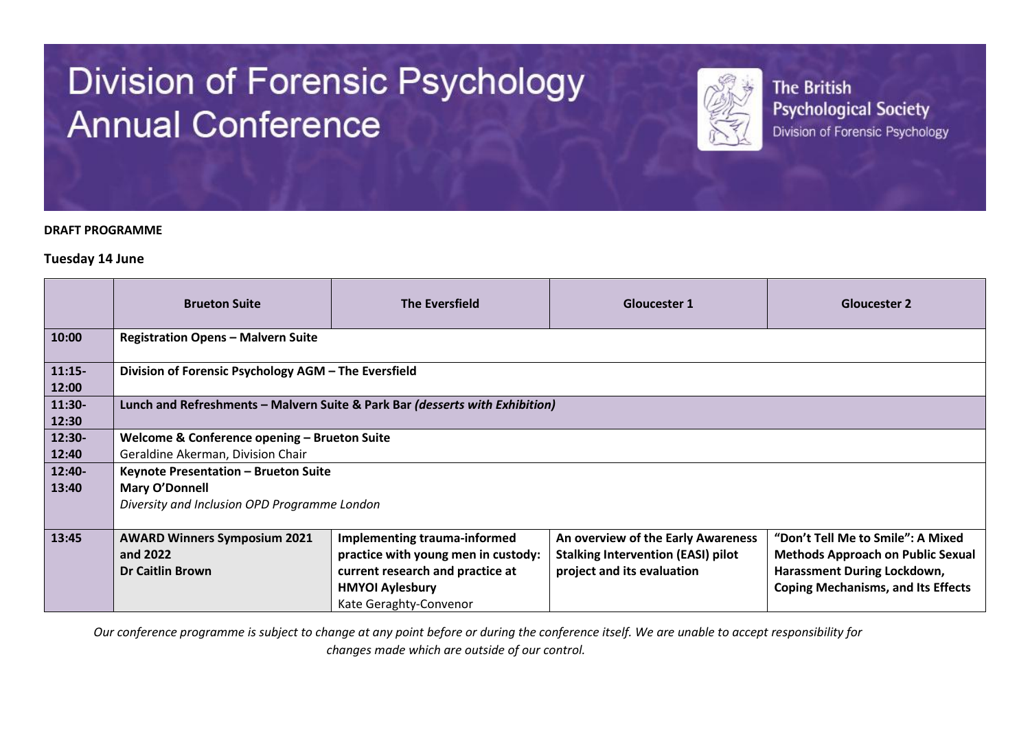# **Division of Forensic Psychology Annual Conference**



**The British Psychological Society** Division of Forensic Psychology

#### **DRAFT PROGRAMME**

#### **Tuesday 14 June**

|                   | <b>Brueton Suite</b>                                                       | <b>The Eversfield</b>                                                                                                                                              | <b>Gloucester 1</b>                                                                                           | <b>Gloucester 2</b>                                                                                                                                       |  |
|-------------------|----------------------------------------------------------------------------|--------------------------------------------------------------------------------------------------------------------------------------------------------------------|---------------------------------------------------------------------------------------------------------------|-----------------------------------------------------------------------------------------------------------------------------------------------------------|--|
| 10:00             | <b>Registration Opens - Malvern Suite</b>                                  |                                                                                                                                                                    |                                                                                                               |                                                                                                                                                           |  |
| $11:15-$<br>12:00 | Division of Forensic Psychology AGM - The Eversfield                       |                                                                                                                                                                    |                                                                                                               |                                                                                                                                                           |  |
| 11:30-<br>12:30   |                                                                            | Lunch and Refreshments - Malvern Suite & Park Bar (desserts with Exhibition)                                                                                       |                                                                                                               |                                                                                                                                                           |  |
| 12:30-            | Welcome & Conference opening - Brueton Suite                               |                                                                                                                                                                    |                                                                                                               |                                                                                                                                                           |  |
| 12:40             | Geraldine Akerman, Division Chair                                          |                                                                                                                                                                    |                                                                                                               |                                                                                                                                                           |  |
| 12:40-            | Keynote Presentation - Brueton Suite                                       |                                                                                                                                                                    |                                                                                                               |                                                                                                                                                           |  |
| 13:40             | Mary O'Donnell                                                             |                                                                                                                                                                    |                                                                                                               |                                                                                                                                                           |  |
|                   | Diversity and Inclusion OPD Programme London                               |                                                                                                                                                                    |                                                                                                               |                                                                                                                                                           |  |
| 13:45             | <b>AWARD Winners Symposium 2021</b><br>and 2022<br><b>Dr Caitlin Brown</b> | <b>Implementing trauma-informed</b><br>practice with young men in custody:<br>current research and practice at<br><b>HMYOI Aylesbury</b><br>Kate Geraghty-Convenor | An overview of the Early Awareness<br><b>Stalking Intervention (EASI) pilot</b><br>project and its evaluation | "Don't Tell Me to Smile": A Mixed<br><b>Methods Approach on Public Sexual</b><br>Harassment During Lockdown,<br><b>Coping Mechanisms, and Its Effects</b> |  |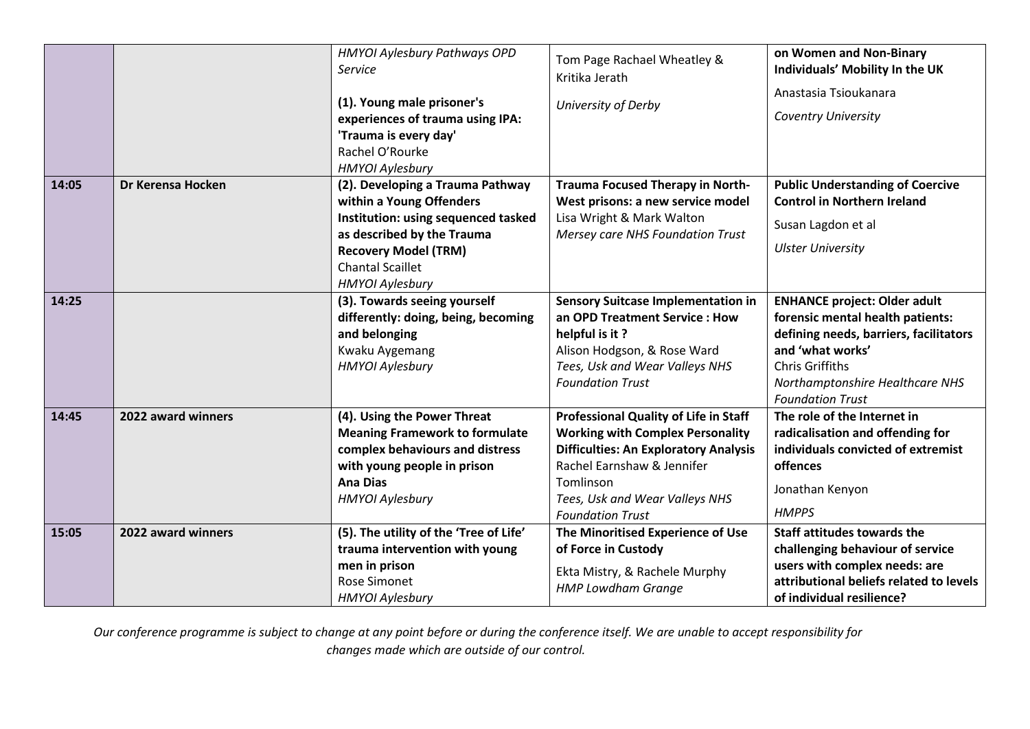|       |                    | HMYOI Aylesbury Pathways OPD<br><b>Service</b><br>(1). Young male prisoner's<br>experiences of trauma using IPA:<br>'Trauma is every day'<br>Rachel O'Rourke<br><b>HMYOI Aylesbury</b>                                | Tom Page Rachael Wheatley &<br>Kritika Jerath<br>University of Derby                                                                                                                                                                     | on Women and Non-Binary<br>Individuals' Mobility In the UK<br>Anastasia Tsioukanara<br><b>Coventry University</b>                                                                                                             |
|-------|--------------------|-----------------------------------------------------------------------------------------------------------------------------------------------------------------------------------------------------------------------|------------------------------------------------------------------------------------------------------------------------------------------------------------------------------------------------------------------------------------------|-------------------------------------------------------------------------------------------------------------------------------------------------------------------------------------------------------------------------------|
| 14:05 | Dr Kerensa Hocken  | (2). Developing a Trauma Pathway<br>within a Young Offenders<br>Institution: using sequenced tasked<br>as described by the Trauma<br><b>Recovery Model (TRM)</b><br><b>Chantal Scaillet</b><br><b>HMYOI Aylesbury</b> | <b>Trauma Focused Therapy in North-</b><br>West prisons: a new service model<br>Lisa Wright & Mark Walton<br><b>Mersey care NHS Foundation Trust</b>                                                                                     | <b>Public Understanding of Coercive</b><br><b>Control in Northern Ireland</b><br>Susan Lagdon et al<br><b>Ulster University</b>                                                                                               |
| 14:25 |                    | (3). Towards seeing yourself<br>differently: doing, being, becoming<br>and belonging<br>Kwaku Aygemang<br><b>HMYOI Aylesbury</b>                                                                                      | <b>Sensory Suitcase Implementation in</b><br>an OPD Treatment Service : How<br>helpful is it?<br>Alison Hodgson, & Rose Ward<br>Tees, Usk and Wear Valleys NHS<br><b>Foundation Trust</b>                                                | <b>ENHANCE project: Older adult</b><br>forensic mental health patients:<br>defining needs, barriers, facilitators<br>and 'what works'<br><b>Chris Griffiths</b><br>Northamptonshire Healthcare NHS<br><b>Foundation Trust</b> |
| 14:45 | 2022 award winners | (4). Using the Power Threat<br><b>Meaning Framework to formulate</b><br>complex behaviours and distress<br>with young people in prison<br><b>Ana Dias</b><br><b>HMYOI Aylesbury</b>                                   | Professional Quality of Life in Staff<br><b>Working with Complex Personality</b><br><b>Difficulties: An Exploratory Analysis</b><br>Rachel Earnshaw & Jennifer<br>Tomlinson<br>Tees, Usk and Wear Valleys NHS<br><b>Foundation Trust</b> | The role of the Internet in<br>radicalisation and offending for<br>individuals convicted of extremist<br>offences<br>Jonathan Kenyon<br><b>HMPPS</b>                                                                          |
| 15:05 | 2022 award winners | (5). The utility of the 'Tree of Life'<br>trauma intervention with young<br>men in prison<br><b>Rose Simonet</b><br><b>HMYOI Aylesbury</b>                                                                            | The Minoritised Experience of Use<br>of Force in Custody<br>Ekta Mistry, & Rachele Murphy<br><b>HMP Lowdham Grange</b>                                                                                                                   | <b>Staff attitudes towards the</b><br>challenging behaviour of service<br>users with complex needs: are<br>attributional beliefs related to levels<br>of individual resilience?                                               |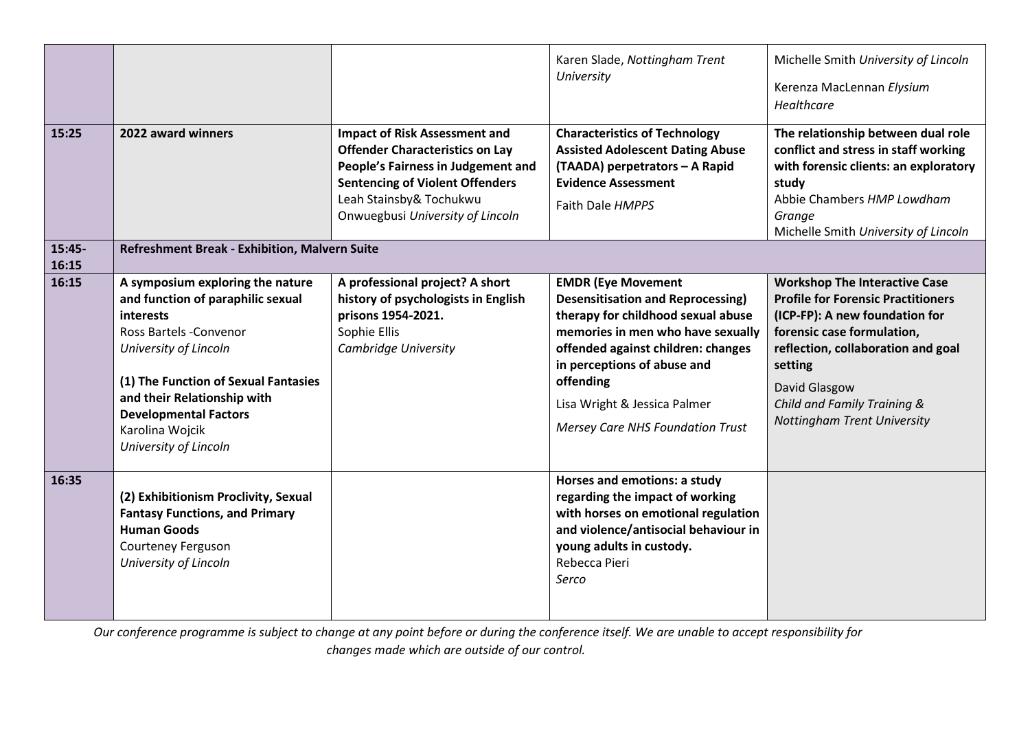| 15:25<br>15:45- | 2022 award winners<br>Refreshment Break - Exhibition, Malvern Suite                                                                                                                                                                                                                                    | <b>Impact of Risk Assessment and</b><br><b>Offender Characteristics on Lay</b><br>People's Fairness in Judgement and<br><b>Sentencing of Violent Offenders</b><br>Leah Stainsby& Tochukwu<br>Onwuegbusi University of Lincoln | Karen Slade, Nottingham Trent<br>University<br><b>Characteristics of Technology</b><br><b>Assisted Adolescent Dating Abuse</b><br>(TAADA) perpetrators - A Rapid<br><b>Evidence Assessment</b><br>Faith Dale HMPPS                                                                                            | Michelle Smith University of Lincoln<br>Kerenza MacLennan Elysium<br>Healthcare<br>The relationship between dual role<br>conflict and stress in staff working<br>with forensic clients: an exploratory<br>study<br>Abbie Chambers HMP Lowdham<br>Grange<br>Michelle Smith University of Lincoln |
|-----------------|--------------------------------------------------------------------------------------------------------------------------------------------------------------------------------------------------------------------------------------------------------------------------------------------------------|-------------------------------------------------------------------------------------------------------------------------------------------------------------------------------------------------------------------------------|---------------------------------------------------------------------------------------------------------------------------------------------------------------------------------------------------------------------------------------------------------------------------------------------------------------|-------------------------------------------------------------------------------------------------------------------------------------------------------------------------------------------------------------------------------------------------------------------------------------------------|
| 16:15<br>16:15  | A symposium exploring the nature<br>and function of paraphilic sexual<br><i>interests</i><br><b>Ross Bartels -Convenor</b><br>University of Lincoln<br>(1) The Function of Sexual Fantasies<br>and their Relationship with<br><b>Developmental Factors</b><br>Karolina Wojcik<br>University of Lincoln | A professional project? A short<br>history of psychologists in English<br>prisons 1954-2021.<br>Sophie Ellis<br>Cambridge University                                                                                          | <b>EMDR (Eye Movement</b><br><b>Desensitisation and Reprocessing)</b><br>therapy for childhood sexual abuse<br>memories in men who have sexually<br>offended against children: changes<br>in perceptions of abuse and<br>offending<br>Lisa Wright & Jessica Palmer<br><b>Mersey Care NHS Foundation Trust</b> | <b>Workshop The Interactive Case</b><br><b>Profile for Forensic Practitioners</b><br>(ICP-FP): A new foundation for<br>forensic case formulation,<br>reflection, collaboration and goal<br>setting<br>David Glasgow<br>Child and Family Training &<br>Nottingham Trent University               |
| 16:35           | (2) Exhibitionism Proclivity, Sexual<br><b>Fantasy Functions, and Primary</b><br><b>Human Goods</b><br>Courteney Ferguson<br>University of Lincoln                                                                                                                                                     |                                                                                                                                                                                                                               | Horses and emotions: a study<br>regarding the impact of working<br>with horses on emotional regulation<br>and violence/antisocial behaviour in<br>young adults in custody.<br>Rebecca Pieri<br>Serco                                                                                                          |                                                                                                                                                                                                                                                                                                 |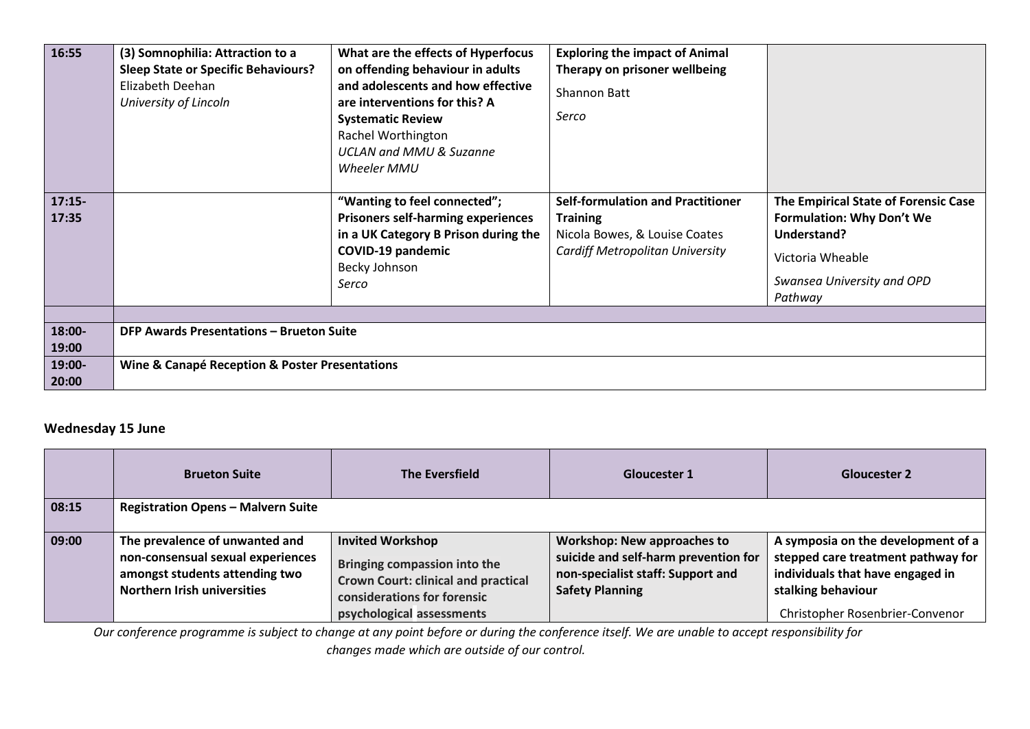| 16:55                              | (3) Somnophilia: Attraction to a<br><b>Sleep State or Specific Behaviours?</b><br>Elizabeth Deehan<br>University of Lincoln | What are the effects of Hyperfocus<br>on offending behaviour in adults<br>and adolescents and how effective<br>are interventions for this? A<br><b>Systematic Review</b><br>Rachel Worthington<br><b>UCLAN and MMU &amp; Suzanne</b><br>Wheeler MMU | <b>Exploring the impact of Animal</b><br>Therapy on prisoner wellbeing<br>Shannon Batt<br>Serco                                        |                                                                                                                                                      |
|------------------------------------|-----------------------------------------------------------------------------------------------------------------------------|-----------------------------------------------------------------------------------------------------------------------------------------------------------------------------------------------------------------------------------------------------|----------------------------------------------------------------------------------------------------------------------------------------|------------------------------------------------------------------------------------------------------------------------------------------------------|
| $17:15-$<br>17:35                  |                                                                                                                             | "Wanting to feel connected";<br><b>Prisoners self-harming experiences</b><br>in a UK Category B Prison during the<br><b>COVID-19 pandemic</b><br>Becky Johnson<br>Serco                                                                             | <b>Self-formulation and Practitioner</b><br><b>Training</b><br>Nicola Bowes, & Louise Coates<br><b>Cardiff Metropolitan University</b> | The Empirical State of Forensic Case<br><b>Formulation: Why Don't We</b><br>Understand?<br>Victoria Wheable<br>Swansea University and OPD<br>Pathway |
| 18:00-<br>19:00<br>19:00-<br>20:00 | <b>DFP Awards Presentations - Brueton Suite</b><br>Wine & Canapé Reception & Poster Presentations                           |                                                                                                                                                                                                                                                     |                                                                                                                                        |                                                                                                                                                      |

### **Wednesday 15 June**

|       | <b>Brueton Suite</b>                                                                                                                        | <b>The Eversfield</b>                                                                                                                                             | <b>Gloucester 1</b>                                                                                                                       | <b>Gloucester 2</b>                                                                                                                                                   |
|-------|---------------------------------------------------------------------------------------------------------------------------------------------|-------------------------------------------------------------------------------------------------------------------------------------------------------------------|-------------------------------------------------------------------------------------------------------------------------------------------|-----------------------------------------------------------------------------------------------------------------------------------------------------------------------|
| 08:15 | <b>Registration Opens - Malvern Suite</b>                                                                                                   |                                                                                                                                                                   |                                                                                                                                           |                                                                                                                                                                       |
| 09:00 | The prevalence of unwanted and<br>non-consensual sexual experiences<br>amongst students attending two<br><b>Northern Irish universities</b> | <b>Invited Workshop</b><br>Bringing compassion into the<br><b>Crown Court: clinical and practical</b><br>considerations for forensic<br>psychological assessments | <b>Workshop: New approaches to</b><br>suicide and self-harm prevention for<br>non-specialist staff: Support and<br><b>Safety Planning</b> | A symposia on the development of a<br>stepped care treatment pathway for<br>individuals that have engaged in<br>stalking behaviour<br>Christopher Rosenbrier-Convenor |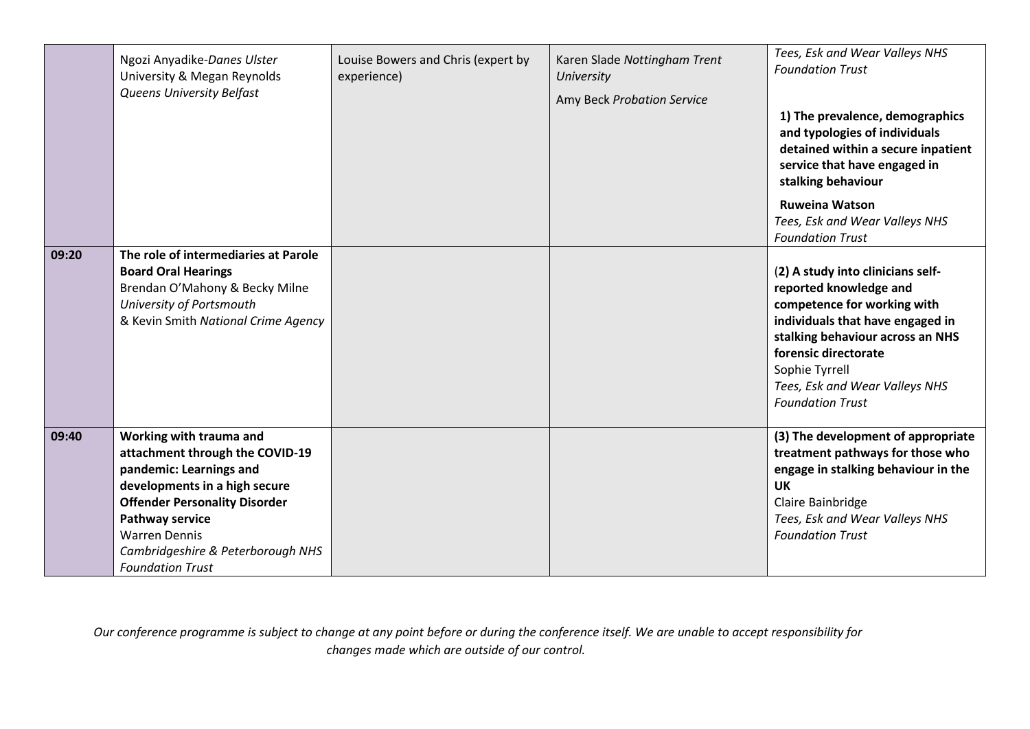|       | Ngozi Anyadike-Danes Ulster<br>University & Megan Reynolds<br><b>Queens University Belfast</b>                                                                                                                                                                                   | Louise Bowers and Chris (expert by<br>experience) | Karen Slade Nottingham Trent<br>University<br>Amy Beck Probation Service | Tees, Esk and Wear Valleys NHS<br><b>Foundation Trust</b><br>1) The prevalence, demographics<br>and typologies of individuals<br>detained within a secure inpatient<br>service that have engaged in<br>stalking behaviour<br><b>Ruweina Watson</b><br>Tees, Esk and Wear Valleys NHS<br><b>Foundation Trust</b> |
|-------|----------------------------------------------------------------------------------------------------------------------------------------------------------------------------------------------------------------------------------------------------------------------------------|---------------------------------------------------|--------------------------------------------------------------------------|-----------------------------------------------------------------------------------------------------------------------------------------------------------------------------------------------------------------------------------------------------------------------------------------------------------------|
| 09:20 | The role of intermediaries at Parole<br><b>Board Oral Hearings</b><br>Brendan O'Mahony & Becky Milne<br>University of Portsmouth<br>& Kevin Smith National Crime Agency                                                                                                          |                                                   |                                                                          | (2) A study into clinicians self-<br>reported knowledge and<br>competence for working with<br>individuals that have engaged in<br>stalking behaviour across an NHS<br>forensic directorate<br>Sophie Tyrrell<br>Tees, Esk and Wear Valleys NHS<br><b>Foundation Trust</b>                                       |
| 09:40 | Working with trauma and<br>attachment through the COVID-19<br>pandemic: Learnings and<br>developments in a high secure<br><b>Offender Personality Disorder</b><br><b>Pathway service</b><br><b>Warren Dennis</b><br>Cambridgeshire & Peterborough NHS<br><b>Foundation Trust</b> |                                                   |                                                                          | (3) The development of appropriate<br>treatment pathways for those who<br>engage in stalking behaviour in the<br><b>UK</b><br>Claire Bainbridge<br>Tees, Esk and Wear Valleys NHS<br><b>Foundation Trust</b>                                                                                                    |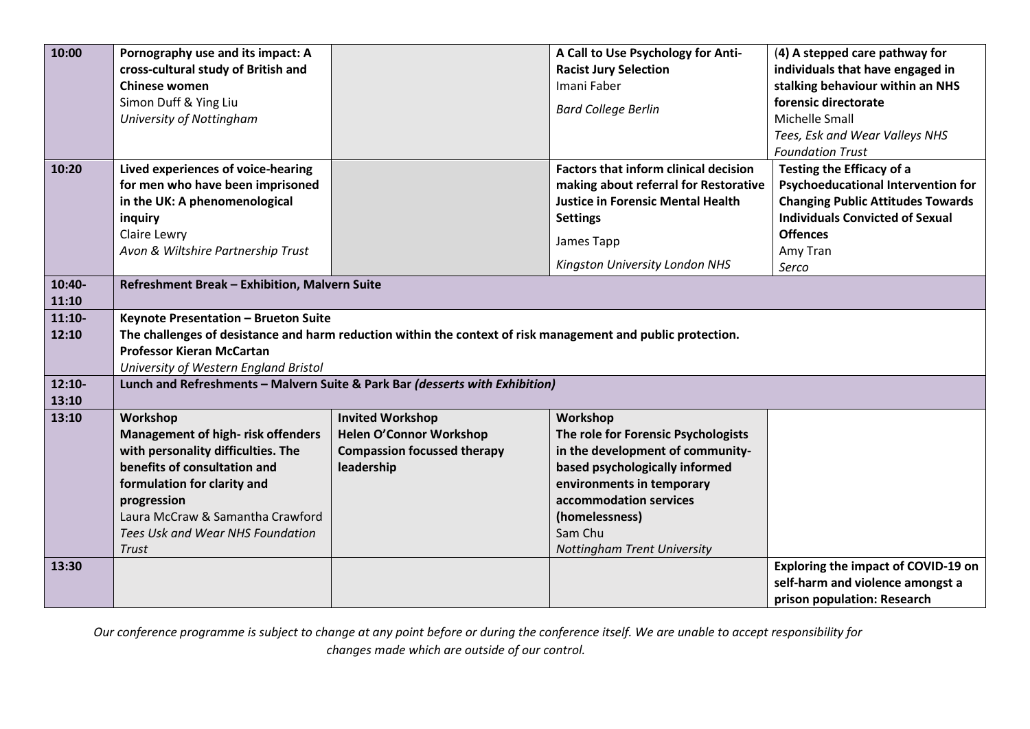| 10:00    | Pornography use and its impact: A             |                                                                                                              | A Call to Use Psychology for Anti-           | (4) A stepped care pathway for            |
|----------|-----------------------------------------------|--------------------------------------------------------------------------------------------------------------|----------------------------------------------|-------------------------------------------|
|          | cross-cultural study of British and           |                                                                                                              | <b>Racist Jury Selection</b>                 | individuals that have engaged in          |
|          | Chinese women                                 |                                                                                                              | Imani Faber                                  | stalking behaviour within an NHS          |
|          | Simon Duff & Ying Liu                         |                                                                                                              | <b>Bard College Berlin</b>                   | forensic directorate                      |
|          | University of Nottingham                      |                                                                                                              |                                              | Michelle Small                            |
|          |                                               |                                                                                                              |                                              | Tees, Esk and Wear Valleys NHS            |
|          |                                               |                                                                                                              |                                              | <b>Foundation Trust</b>                   |
| 10:20    | Lived experiences of voice-hearing            |                                                                                                              | <b>Factors that inform clinical decision</b> | Testing the Efficacy of a                 |
|          | for men who have been imprisoned              |                                                                                                              | making about referral for Restorative        | <b>Psychoeducational Intervention for</b> |
|          | in the UK: A phenomenological                 |                                                                                                              | <b>Justice in Forensic Mental Health</b>     | <b>Changing Public Attitudes Towards</b>  |
|          | inquiry                                       |                                                                                                              | <b>Settings</b>                              | <b>Individuals Convicted of Sexual</b>    |
|          | Claire Lewry                                  |                                                                                                              | James Tapp                                   | <b>Offences</b>                           |
|          | Avon & Wiltshire Partnership Trust            |                                                                                                              |                                              | Amy Tran                                  |
|          |                                               |                                                                                                              | Kingston University London NHS               | Serco                                     |
| 10:40-   | Refreshment Break - Exhibition, Malvern Suite |                                                                                                              |                                              |                                           |
| 11:10    |                                               |                                                                                                              |                                              |                                           |
| $11:10-$ | Keynote Presentation - Brueton Suite          |                                                                                                              |                                              |                                           |
| 12:10    |                                               | The challenges of desistance and harm reduction within the context of risk management and public protection. |                                              |                                           |
|          | <b>Professor Kieran McCartan</b>              |                                                                                                              |                                              |                                           |
|          | University of Western England Bristol         |                                                                                                              |                                              |                                           |
| $12:10-$ |                                               | Lunch and Refreshments - Malvern Suite & Park Bar (desserts with Exhibition)                                 |                                              |                                           |
| 13:10    |                                               |                                                                                                              |                                              |                                           |
| 13:10    | Workshop                                      | <b>Invited Workshop</b>                                                                                      | Workshop                                     |                                           |
|          | <b>Management of high-risk offenders</b>      | Helen O'Connor Workshop                                                                                      | The role for Forensic Psychologists          |                                           |
|          | with personality difficulties. The            | <b>Compassion focussed therapy</b>                                                                           | in the development of community-             |                                           |
|          | benefits of consultation and                  | leadership                                                                                                   | based psychologically informed               |                                           |
|          | formulation for clarity and                   |                                                                                                              | environments in temporary                    |                                           |
|          | progression                                   |                                                                                                              | accommodation services                       |                                           |
|          | Laura McCraw & Samantha Crawford              |                                                                                                              | (homelessness)                               |                                           |
|          | Tees Usk and Wear NHS Foundation              |                                                                                                              | Sam Chu                                      |                                           |
|          | <b>Trust</b>                                  |                                                                                                              | Nottingham Trent University                  |                                           |
| 13:30    |                                               |                                                                                                              |                                              | Exploring the impact of COVID-19 on       |
|          |                                               |                                                                                                              |                                              | self-harm and violence amongst a          |
|          |                                               |                                                                                                              |                                              | prison population: Research               |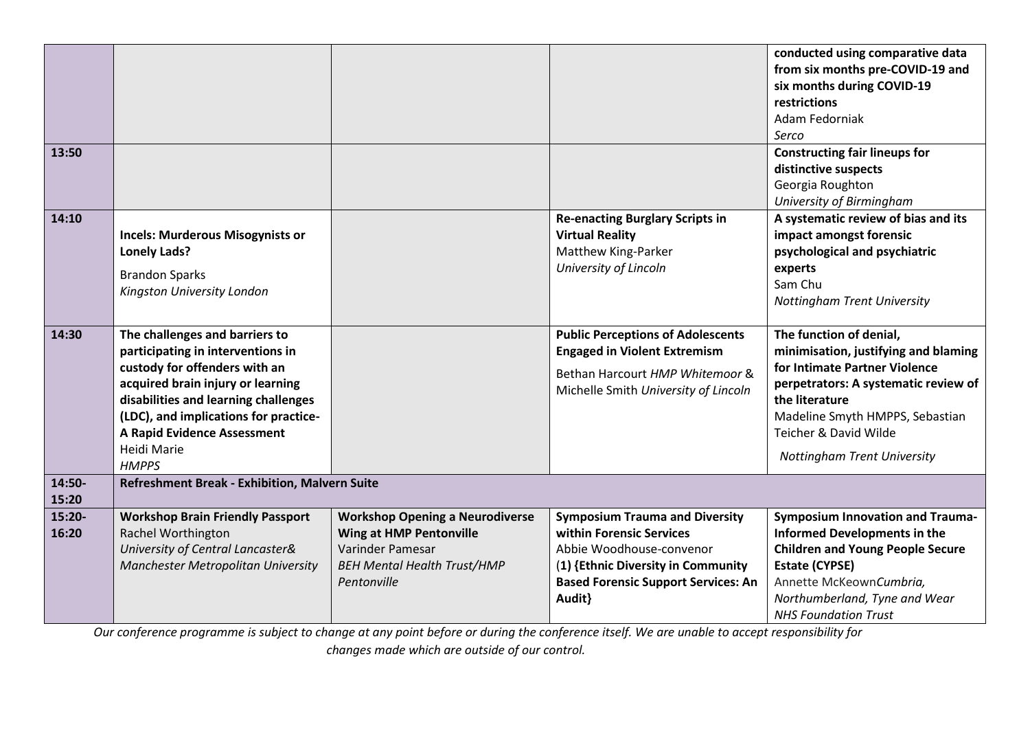| 13:50           |                                                                                                                                                                                                                                                                                                 |                                                                                                                                                   |                                                                                                                                                                                             | conducted using comparative data<br>from six months pre-COVID-19 and<br>six months during COVID-19<br>restrictions<br>Adam Fedorniak<br>Serco<br><b>Constructing fair lineups for</b><br>distinctive suspects<br>Georgia Roughton<br>University of Birmingham |
|-----------------|-------------------------------------------------------------------------------------------------------------------------------------------------------------------------------------------------------------------------------------------------------------------------------------------------|---------------------------------------------------------------------------------------------------------------------------------------------------|---------------------------------------------------------------------------------------------------------------------------------------------------------------------------------------------|---------------------------------------------------------------------------------------------------------------------------------------------------------------------------------------------------------------------------------------------------------------|
| 14:10           | <b>Incels: Murderous Misogynists or</b><br><b>Lonely Lads?</b><br><b>Brandon Sparks</b><br>Kingston University London                                                                                                                                                                           |                                                                                                                                                   | <b>Re-enacting Burglary Scripts in</b><br><b>Virtual Reality</b><br>Matthew King-Parker<br>University of Lincoln                                                                            | A systematic review of bias and its<br>impact amongst forensic<br>psychological and psychiatric<br>experts<br>Sam Chu<br>Nottingham Trent University                                                                                                          |
| 14:30           | The challenges and barriers to<br>participating in interventions in<br>custody for offenders with an<br>acquired brain injury or learning<br>disabilities and learning challenges<br>(LDC), and implications for practice-<br><b>A Rapid Evidence Assessment</b><br>Heidi Marie<br><b>HMPPS</b> |                                                                                                                                                   | <b>Public Perceptions of Adolescents</b><br><b>Engaged in Violent Extremism</b><br>Bethan Harcourt HMP Whitemoor &<br>Michelle Smith University of Lincoln                                  | The function of denial,<br>minimisation, justifying and blaming<br>for Intimate Partner Violence<br>perpetrators: A systematic review of<br>the literature<br>Madeline Smyth HMPPS, Sebastian<br>Teicher & David Wilde<br><b>Nottingham Trent University</b>  |
| 14:50-<br>15:20 | Refreshment Break - Exhibition, Malvern Suite                                                                                                                                                                                                                                                   |                                                                                                                                                   |                                                                                                                                                                                             |                                                                                                                                                                                                                                                               |
| 15:20-<br>16:20 | <b>Workshop Brain Friendly Passport</b><br>Rachel Worthington<br>University of Central Lancaster&<br>Manchester Metropolitan University                                                                                                                                                         | <b>Workshop Opening a Neurodiverse</b><br><b>Wing at HMP Pentonville</b><br>Varinder Pamesar<br><b>BEH Mental Health Trust/HMP</b><br>Pentonville | <b>Symposium Trauma and Diversity</b><br>within Forensic Services<br>Abbie Woodhouse-convenor<br>(1) {Ethnic Diversity in Community<br><b>Based Forensic Support Services: An</b><br>Audit} | <b>Symposium Innovation and Trauma-</b><br><b>Informed Developments in the</b><br><b>Children and Young People Secure</b><br><b>Estate (CYPSE)</b><br>Annette McKeownCumbria,<br>Northumberland, Tyne and Wear<br><b>NHS Foundation Trust</b>                 |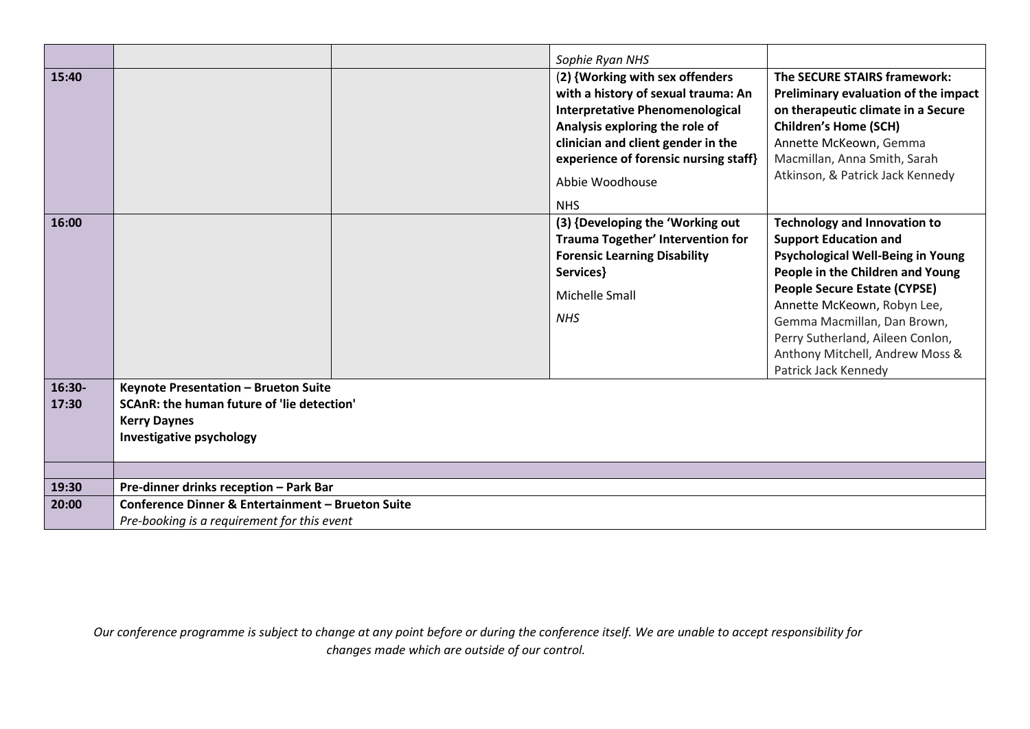|                 |                                                                                                                                       | Sophie Ryan NHS                                                                                                                                                                                                                                                    |                                                                                                                                                                                                                                                                                                                                                  |
|-----------------|---------------------------------------------------------------------------------------------------------------------------------------|--------------------------------------------------------------------------------------------------------------------------------------------------------------------------------------------------------------------------------------------------------------------|--------------------------------------------------------------------------------------------------------------------------------------------------------------------------------------------------------------------------------------------------------------------------------------------------------------------------------------------------|
| 15:40           |                                                                                                                                       | (2) {Working with sex offenders<br>with a history of sexual trauma: An<br><b>Interpretative Phenomenological</b><br>Analysis exploring the role of<br>clinician and client gender in the<br>experience of forensic nursing staff}<br>Abbie Woodhouse<br><b>NHS</b> | The SECURE STAIRS framework:<br>Preliminary evaluation of the impact<br>on therapeutic climate in a Secure<br><b>Children's Home (SCH)</b><br>Annette McKeown, Gemma<br>Macmillan, Anna Smith, Sarah<br>Atkinson, & Patrick Jack Kennedy                                                                                                         |
| 16:00           |                                                                                                                                       | (3) {Developing the 'Working out<br>Trauma Together' Intervention for<br><b>Forensic Learning Disability</b><br>Services}<br>Michelle Small<br><b>NHS</b>                                                                                                          | <b>Technology and Innovation to</b><br><b>Support Education and</b><br>Psychological Well-Being in Young<br>People in the Children and Young<br><b>People Secure Estate (CYPSE)</b><br>Annette McKeown, Robyn Lee,<br>Gemma Macmillan, Dan Brown,<br>Perry Sutherland, Aileen Conlon,<br>Anthony Mitchell, Andrew Moss &<br>Patrick Jack Kennedy |
| 16:30-<br>17:30 | Keynote Presentation - Brueton Suite<br>SCAnR: the human future of 'lie detection'<br><b>Kerry Daynes</b><br>Investigative psychology |                                                                                                                                                                                                                                                                    |                                                                                                                                                                                                                                                                                                                                                  |
|                 |                                                                                                                                       |                                                                                                                                                                                                                                                                    |                                                                                                                                                                                                                                                                                                                                                  |
| 19:30           | Pre-dinner drinks reception - Park Bar                                                                                                |                                                                                                                                                                                                                                                                    |                                                                                                                                                                                                                                                                                                                                                  |
| 20:00           | <b>Conference Dinner &amp; Entertainment - Brueton Suite</b>                                                                          |                                                                                                                                                                                                                                                                    |                                                                                                                                                                                                                                                                                                                                                  |
|                 | Pre-booking is a requirement for this event                                                                                           |                                                                                                                                                                                                                                                                    |                                                                                                                                                                                                                                                                                                                                                  |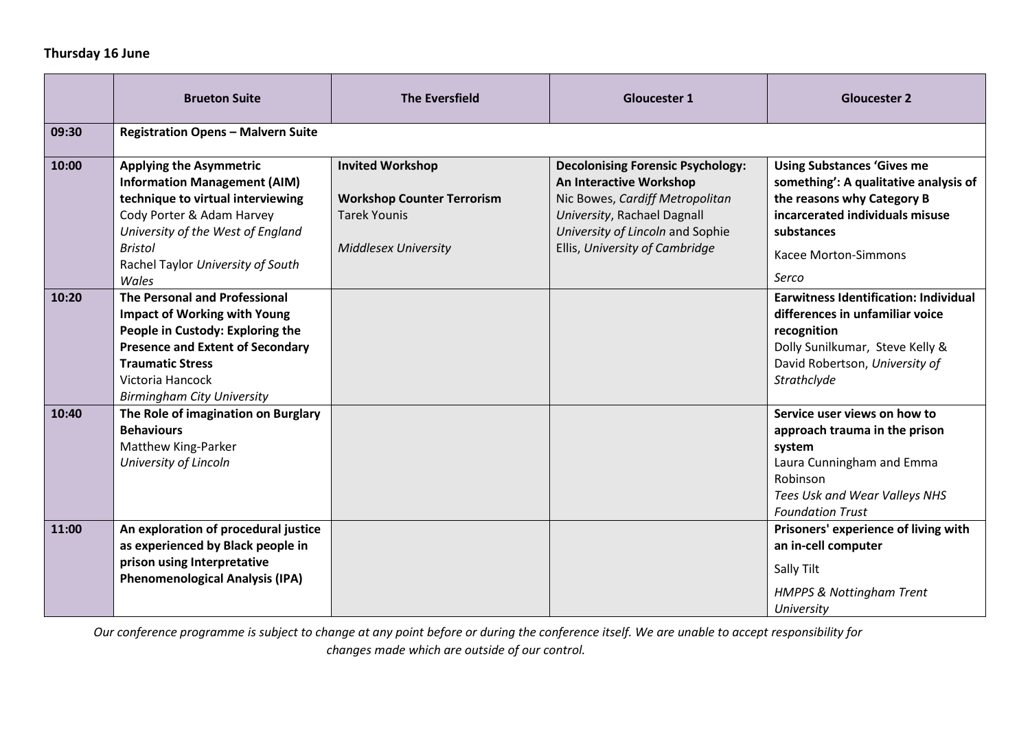## **Thursday 16 June**

|       | <b>Brueton Suite</b>                                                                                                                                                                                                                           | <b>The Eversfield</b>                                                                                              | <b>Gloucester 1</b>                                                                                                                                                                                         | <b>Gloucester 2</b>                                                                                                                                                                        |
|-------|------------------------------------------------------------------------------------------------------------------------------------------------------------------------------------------------------------------------------------------------|--------------------------------------------------------------------------------------------------------------------|-------------------------------------------------------------------------------------------------------------------------------------------------------------------------------------------------------------|--------------------------------------------------------------------------------------------------------------------------------------------------------------------------------------------|
| 09:30 | <b>Registration Opens - Malvern Suite</b>                                                                                                                                                                                                      |                                                                                                                    |                                                                                                                                                                                                             |                                                                                                                                                                                            |
| 10:00 | <b>Applying the Asymmetric</b><br><b>Information Management (AIM)</b><br>technique to virtual interviewing<br>Cody Porter & Adam Harvey<br>University of the West of England<br><b>Bristol</b><br>Rachel Taylor University of South<br>Wales   | <b>Invited Workshop</b><br><b>Workshop Counter Terrorism</b><br><b>Tarek Younis</b><br><b>Middlesex University</b> | <b>Decolonising Forensic Psychology:</b><br>An Interactive Workshop<br>Nic Bowes, Cardiff Metropolitan<br>University, Rachael Dagnall<br>University of Lincoln and Sophie<br>Ellis, University of Cambridge | <b>Using Substances 'Gives me</b><br>something': A qualitative analysis of<br>the reasons why Category B<br>incarcerated individuals misuse<br>substances<br>Kacee Morton-Simmons<br>Serco |
| 10:20 | <b>The Personal and Professional</b><br><b>Impact of Working with Young</b><br>People in Custody: Exploring the<br><b>Presence and Extent of Secondary</b><br><b>Traumatic Stress</b><br>Victoria Hancock<br><b>Birmingham City University</b> |                                                                                                                    |                                                                                                                                                                                                             | <b>Earwitness Identification: Individual</b><br>differences in unfamiliar voice<br>recognition<br>Dolly Sunilkumar, Steve Kelly &<br>David Robertson, University of<br>Strathclyde         |
| 10:40 | The Role of imagination on Burglary<br><b>Behaviours</b><br>Matthew King-Parker<br>University of Lincoln                                                                                                                                       |                                                                                                                    |                                                                                                                                                                                                             | Service user views on how to<br>approach trauma in the prison<br>system<br>Laura Cunningham and Emma<br>Robinson<br>Tees Usk and Wear Valleys NHS<br><b>Foundation Trust</b>               |
| 11:00 | An exploration of procedural justice<br>as experienced by Black people in<br>prison using Interpretative<br><b>Phenomenological Analysis (IPA)</b>                                                                                             |                                                                                                                    |                                                                                                                                                                                                             | Prisoners' experience of living with<br>an in-cell computer<br>Sally Tilt<br><b>HMPPS &amp; Nottingham Trent</b><br>University                                                             |